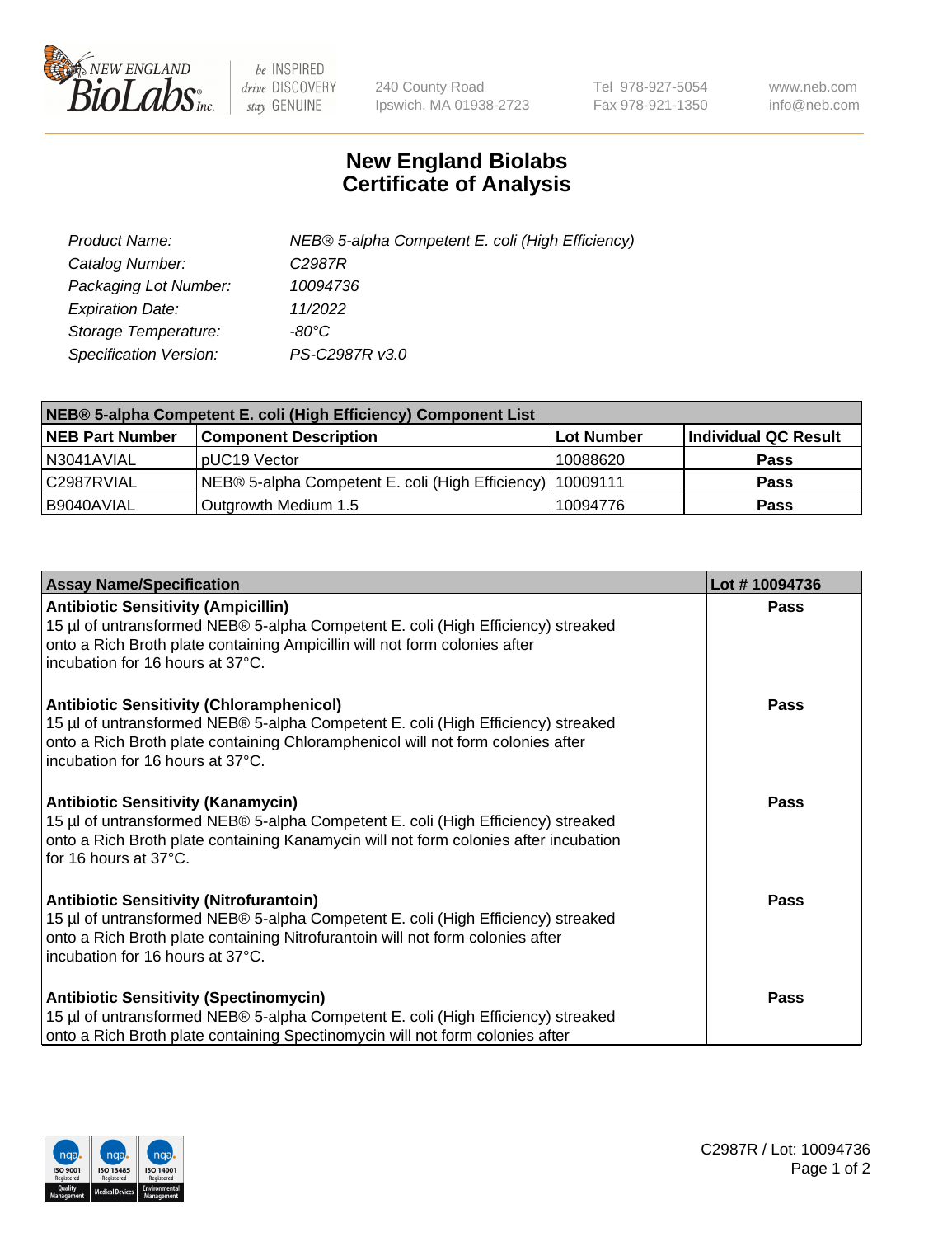

 $be$  INSPIRED drive DISCOVERY stay GENUINE

240 County Road Ipswich, MA 01938-2723 Tel 978-927-5054 Fax 978-921-1350 www.neb.com info@neb.com

## **New England Biolabs Certificate of Analysis**

| Product Name:                 | NEB® 5-alpha Competent E. coli (High Efficiency) |
|-------------------------------|--------------------------------------------------|
| Catalog Number:               | C <sub>2987</sub> R                              |
| Packaging Lot Number:         | 10094736                                         |
| <b>Expiration Date:</b>       | 11/2022                                          |
| Storage Temperature:          | -80°C                                            |
| <b>Specification Version:</b> | PS-C2987R v3.0                                   |

| NEB® 5-alpha Competent E. coli (High Efficiency) Component List |                                                             |            |                      |  |
|-----------------------------------------------------------------|-------------------------------------------------------------|------------|----------------------|--|
| <b>NEB Part Number</b>                                          | <b>Component Description</b>                                | Lot Number | Individual QC Result |  |
| N3041AVIAL                                                      | pUC19 Vector                                                | 10088620   | <b>Pass</b>          |  |
| C2987RVIAL                                                      | NEB® 5-alpha Competent E. coli (High Efficiency)   10009111 |            | <b>Pass</b>          |  |
| B9040AVIAL                                                      | Outgrowth Medium 1.5                                        | 10094776   | <b>Pass</b>          |  |

| <b>Assay Name/Specification</b>                                                                                                                                                                                                                            | Lot #10094736 |
|------------------------------------------------------------------------------------------------------------------------------------------------------------------------------------------------------------------------------------------------------------|---------------|
| <b>Antibiotic Sensitivity (Ampicillin)</b><br>15 µl of untransformed NEB® 5-alpha Competent E. coli (High Efficiency) streaked<br>onto a Rich Broth plate containing Ampicillin will not form colonies after<br>incubation for 16 hours at 37°C.           | Pass          |
| <b>Antibiotic Sensitivity (Chloramphenicol)</b><br>15 µl of untransformed NEB® 5-alpha Competent E. coli (High Efficiency) streaked<br>onto a Rich Broth plate containing Chloramphenicol will not form colonies after<br>incubation for 16 hours at 37°C. | Pass          |
| <b>Antibiotic Sensitivity (Kanamycin)</b><br>15 µl of untransformed NEB® 5-alpha Competent E. coli (High Efficiency) streaked<br>onto a Rich Broth plate containing Kanamycin will not form colonies after incubation<br>for 16 hours at 37°C.             | Pass          |
| <b>Antibiotic Sensitivity (Nitrofurantoin)</b><br>15 µl of untransformed NEB® 5-alpha Competent E. coli (High Efficiency) streaked<br>onto a Rich Broth plate containing Nitrofurantoin will not form colonies after<br>incubation for 16 hours at 37°C.   | <b>Pass</b>   |
| <b>Antibiotic Sensitivity (Spectinomycin)</b><br>15 µl of untransformed NEB® 5-alpha Competent E. coli (High Efficiency) streaked<br>onto a Rich Broth plate containing Spectinomycin will not form colonies after                                         | Pass          |